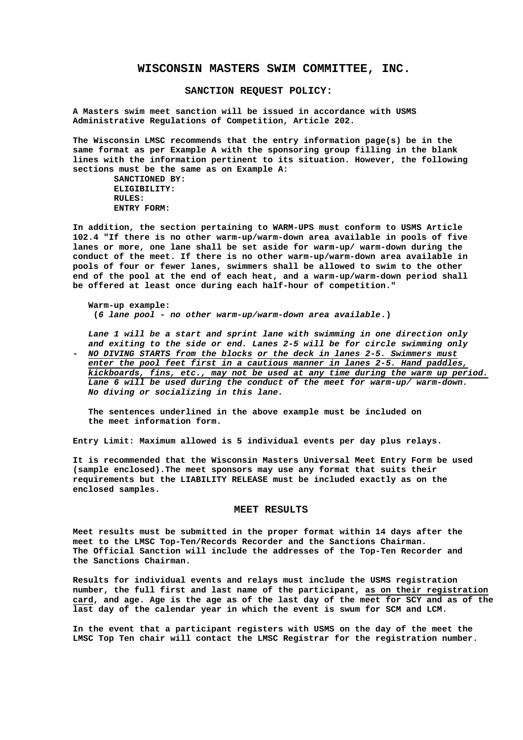## **WISCONSIN MASTERS SWIM COMMITTEE, INC.**

## **SANCTION REQUEST POLICY:**

**A Masters swim meet sanction will be issued in accordance with USMS Administrative Regulations of Competition, Article 202.**

**The Wisconsin LMSC recommends that the entry information page(s) be in the same format as per Example A with the sponsoring group filling in the blank lines with the information pertinent to its situation. However, the following sections must be the same as on Example A:**

**SANCTIONED BY: ELIGIBILITY: RULES: ENTRY FORM:**

**In addition, the section pertaining to WARM-UPS must conform to USMS Article 102.4 "If there is no other warm-up/warm-down area available in pools of five lanes or more, one lane shall be set aside for warm-up/ warm-down during the conduct of the meet. If there is no other warm-up/warm-down area available in pools of four or fewer lanes, swimmers shall be allowed to swim to the other end of the pool at the end of each heat, and a warm-up/warm-down period shall be offered at least once during each half-hour of competition."**

**Warm-up example: (***6 lane pool - no other warm-up/warm-down area available***.)**

*Lane 1 will be a start and sprint lane with swimming in one direction only and exiting to the side or end. Lanes 2-5 will be for circle swimming only - NO DIVING STARTS from the blocks or the deck in lanes 2-5. Swimmers must enter the pool feet first in a cautious manner in lanes 2-5. Hand paddles, kickboards, fins, etc., may not be used at any time during the warm up period. Lane 6 will be used during the conduct of the meet for warm-up/ warm-down. No diving or socializing in this lane.*

**The sentences underlined in the above example must be included on the meet information form.**

**Entry Limit: Maximum allowed is 5 individual events per day plus relays.**

**It is recommended that the Wisconsin Masters Universal Meet Entry Form be used (sample enclosed).The meet sponsors may use any format that suits their requirements but the LIABILITY RELEASE must be included exactly as on the enclosed samples.**

#### **MEET RESULTS**

**Meet results must be submitted in the proper format within 14 days after the meet to the LMSC Top-Ten/Records Recorder and the Sanctions Chairman. The Official Sanction will include the addresses of the Top-Ten Recorder and the Sanctions Chairman.**

**Results for individual events and relays must include the USMS registration number, the full first and last name of the participant, as on their registration card, and age. Age is the age as of the last day of the meet for SCY and as of the last day of the calendar year in which the event is swum for SCM and LCM.**

**In the event that a participant registers with USMS on the day of the meet the LMSC Top Ten chair will contact the LMSC Registrar for the registration number.**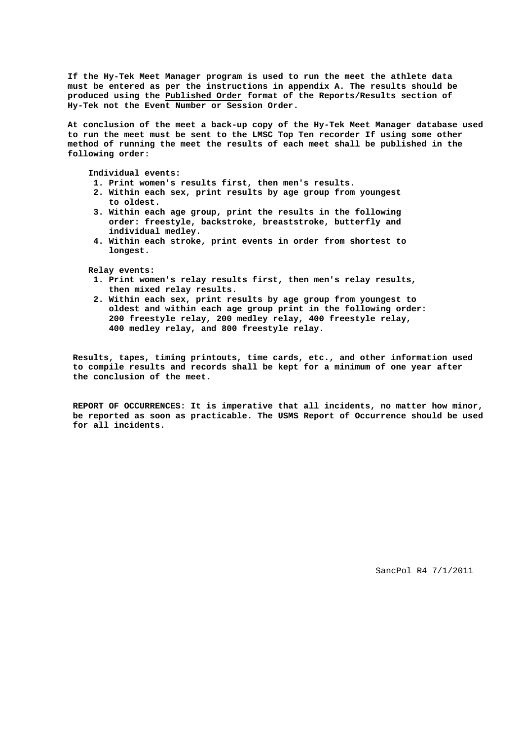**If the Hy-Tek Meet Manager program is used to run the meet the athlete data must be entered as per the instructions in appendix A. The results should be produced using the Published Order format of the Reports/Results section of Hy-Tek not the Event Number or Session Order.**

**At conclusion of the meet a back-up copy of the Hy-Tek Meet Manager database used to run the meet must be sent to the LMSC Top Ten recorder If using some other method of running the meet the results of each meet shall be published in the following order:**

**Individual events:**

- **1. Print women's results first, then men's results.**
- **2. Within each sex, print results by age group from youngest to oldest.**
- **3. Within each age group, print the results in the following order: freestyle, backstroke, breaststroke, butterfly and individual medley.**
- **4. Within each stroke, print events in order from shortest to longest.**

**Relay events:**

- **1. Print women's relay results first, then men's relay results, then mixed relay results.**
- **2. Within each sex, print results by age group from youngest to oldest and within each age group print in the following order: 200 freestyle relay, 200 medley relay, 400 freestyle relay, 400 medley relay, and 800 freestyle relay.**

**Results, tapes, timing printouts, time cards, etc., and other information used to compile results and records shall be kept for a minimum of one year after the conclusion of the meet.**

**REPORT OF OCCURRENCES: It is imperative that all incidents, no matter how minor, be reported as soon as practicable. The USMS Report of Occurrence should be used for all incidents.**

SancPol R4 7/1/2011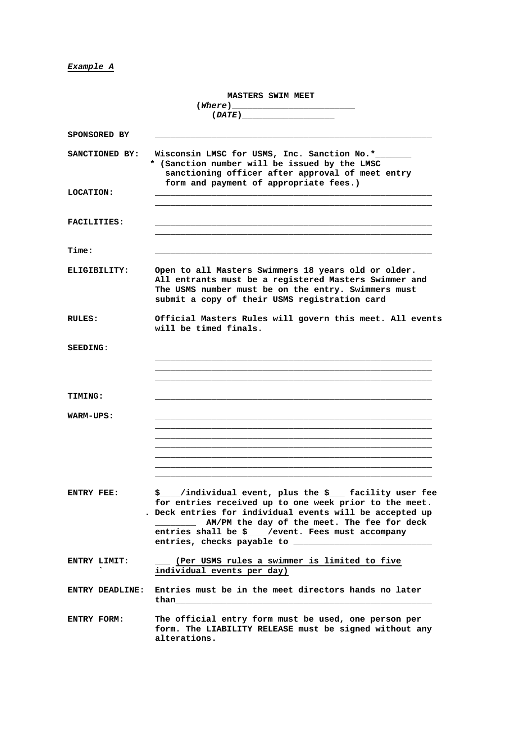## *Example A*

|                    | <b>MASTERS SWIM MEET</b><br>$(DATE) \qquad \qquad \qquad  \qquad  \qquad  \qquad  \qquad  \qquad$                                                                                                                                                                                            |  |
|--------------------|----------------------------------------------------------------------------------------------------------------------------------------------------------------------------------------------------------------------------------------------------------------------------------------------|--|
| SPONSORED BY       |                                                                                                                                                                                                                                                                                              |  |
| SANCTIONED BY:     | Wisconsin LMSC for USMS, Inc. Sanction No.*<br>* (Sanction number will be issued by the LMSC<br>sanctioning officer after approval of meet entry<br>form and payment of appropriate fees.)                                                                                                   |  |
| LOCATION:          |                                                                                                                                                                                                                                                                                              |  |
| <b>FACILITIES:</b> |                                                                                                                                                                                                                                                                                              |  |
| Time:              |                                                                                                                                                                                                                                                                                              |  |
| ELIGIBILITY:       | Open to all Masters Swimmers 18 years old or older.<br>All entrants must be a registered Masters Swimmer and<br>The USMS number must be on the entry. Swimmers must<br>submit a copy of their USMS registration card                                                                         |  |
| RULES:             | Official Masters Rules will govern this meet. All events<br>will be timed finals.                                                                                                                                                                                                            |  |
| <b>SEEDING:</b>    |                                                                                                                                                                                                                                                                                              |  |
| <b>TIMING:</b>     |                                                                                                                                                                                                                                                                                              |  |
| WARM-UPS:          |                                                                                                                                                                                                                                                                                              |  |
| ENTRY FEE:         | \$____/individual event, plus the \$___ facility user fee<br>for entries received up to one week prior to the meet.<br>. Deck entries for individual events will be accepted up<br>AM/PM the day of the meet. The fee for deck<br>entries shall be $\frac{1}{2}$ /event. Fees must accompany |  |
| ENTRY LIMIT:       | ___ (Per USMS rules a swimmer is limited to five<br>individual events per day)                                                                                                                                                                                                               |  |
| ENTRY DEADLINE:    | Entries must be in the meet directors hands no later<br>than                                                                                                                                                                                                                                 |  |
| ENTRY FORM:        | The official entry form must be used, one person per<br>form. The LIABILITY RELEASE must be signed without any<br>alterations.                                                                                                                                                               |  |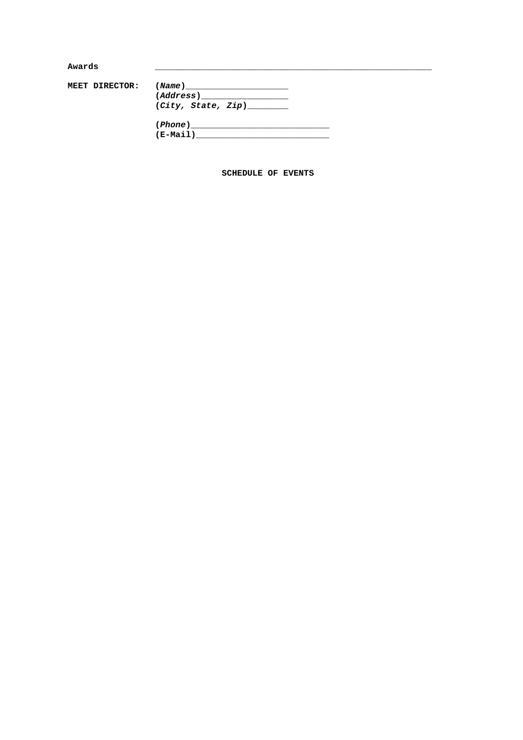| Awards |                |                                                                                                                                                                                                                                                                                                                                                                                                                                                        |
|--------|----------------|--------------------------------------------------------------------------------------------------------------------------------------------------------------------------------------------------------------------------------------------------------------------------------------------------------------------------------------------------------------------------------------------------------------------------------------------------------|
|        |                |                                                                                                                                                                                                                                                                                                                                                                                                                                                        |
|        | MEET DIRECTOR: |                                                                                                                                                                                                                                                                                                                                                                                                                                                        |
|        |                | $\qquad \qquad (Address) \qquad \qquad \qquad \qquad \qquad \qquad \qquad \qquad \qquad \qquad$                                                                                                                                                                                                                                                                                                                                                        |
|        |                | (City, State, Zip)                                                                                                                                                                                                                                                                                                                                                                                                                                     |
|        |                | $(Phone) \begin{tabular}{@{}c@{}} \hline \hline \multicolumn{3}{c}{ \textbf{[1] \textbf{[}} \end{tabular} } \vspace{0.00000} \begin{tabular}{@{}c@{}} \hline \multicolumn{3}{c}{ \textbf{[1] \textbf{[}} \end{tabular} } \vspace{0.00000} \begin{tabular}{@{}c@{}} \hline \multicolumn{3}{c}{ \textbf{[1] \textbf{[}} \end{tabular} } \vspace{0.00000} \begin{tabular}{@{}c@{}} \hline \multicolumn{3}{c}{ \textbf{[1] \textbf{[}} \end{tabular} } \v$ |
|        |                | $(E-Mail)$                                                                                                                                                                                                                                                                                                                                                                                                                                             |

SCHEDULE OF EVENTS

 $\overline{a}$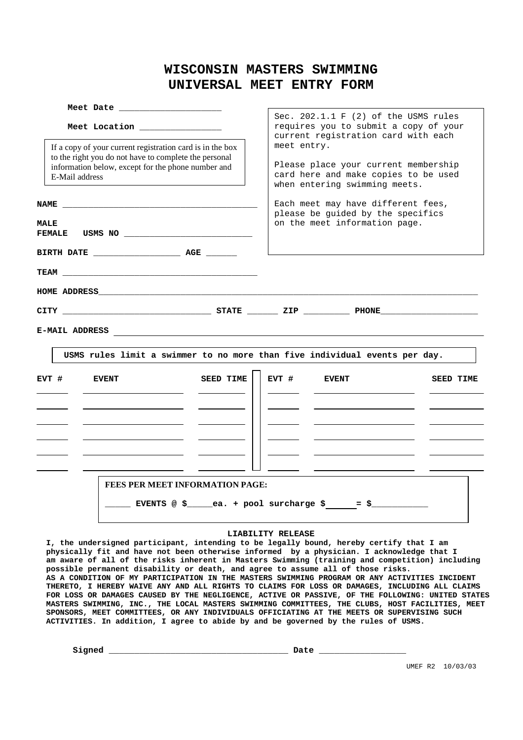## **WISCONSIN MASTERS SWIMMING UNIVERSAL MEET ENTRY FORM**

| Meet Date<br>Meet Location and Meet Location<br>If a copy of your current registration card is in the box<br>to the right you do not have to complete the personal<br>information below, except for the phone number and<br>E-Mail address<br><b>NAME</b> | Sec. $202.1.1 \tF (2)$ of the USMS rules<br>requires you to submit a copy of your<br>current registration card with each<br>meet entry.<br>Please place your current membership<br>card here and make copies to be used<br>when entering swimming meets.<br>Each meet may have different fees,<br>please be guided by the specifics |
|-----------------------------------------------------------------------------------------------------------------------------------------------------------------------------------------------------------------------------------------------------------|-------------------------------------------------------------------------------------------------------------------------------------------------------------------------------------------------------------------------------------------------------------------------------------------------------------------------------------|
| <b>MALE</b>                                                                                                                                                                                                                                               | on the meet information page.                                                                                                                                                                                                                                                                                                       |
| <b>E-MAIL ADDRESS</b><br><u> 1989 - Andrea Amerikaanse kommunister († 1958)</u>                                                                                                                                                                           |                                                                                                                                                                                                                                                                                                                                     |
| USMS rules limit a swimmer to no more than five individual events per day.                                                                                                                                                                                |                                                                                                                                                                                                                                                                                                                                     |
| <b>SEED TIME</b><br>EVT #<br><b>EVENT</b>                                                                                                                                                                                                                 | $EVT$ #<br><b>EVENT</b><br><b>SEED TIME</b>                                                                                                                                                                                                                                                                                         |
|                                                                                                                                                                                                                                                           |                                                                                                                                                                                                                                                                                                                                     |
| <b>FEES PER MEET INFORMATION PAGE:</b>                                                                                                                                                                                                                    | ___ EVENTS @ \$_____ea. + pool surcharge \$_____= \$___________                                                                                                                                                                                                                                                                     |

## **LIABILITY RELEASE**

**I, the undersigned participant, intending to be legally bound, hereby certify that I am physically fit and have not been otherwise informed by a physician. I acknowledge that I am aware of all of the risks inherent in Masters Swimming (training and competition) including possible permanent disability or death, and agree to assume all of those risks. AS A CONDITION OF MY PARTICIPATION IN THE MASTERS SWIMMING PROGRAM OR ANY ACTIVITIES INCIDENT THERETO, I HEREBY WAIVE ANY AND ALL RIGHTS TO CLAIMS FOR LOSS OR DAMAGES, INCLUDING ALL CLAIMS FOR LOSS OR DAMAGES CAUSED BY THE NEGLIGENCE, ACTIVE OR PASSIVE, OF THE FOLLOWING: UNITED STATES MASTERS SWIMMING, INC., THE LOCAL MASTERS SWIMMING COMMITTEES, THE CLUBS, HOST FACILITIES, MEET SPONSORS, MEET COMMITTEES, OR ANY INDIVIDUALS OFFICIATING AT THE MEETS OR SUPERVISING SUCH ACTIVITIES. In addition, I agree to abide by and be governed by the rules of USMS.**

**Signed \_\_\_\_\_\_\_\_\_\_\_\_\_\_\_\_\_\_\_\_\_\_\_\_\_\_\_\_\_\_\_\_\_\_\_ Date \_\_\_\_\_\_\_\_\_\_\_\_\_\_\_\_\_**

UMEF R2 10/03/03